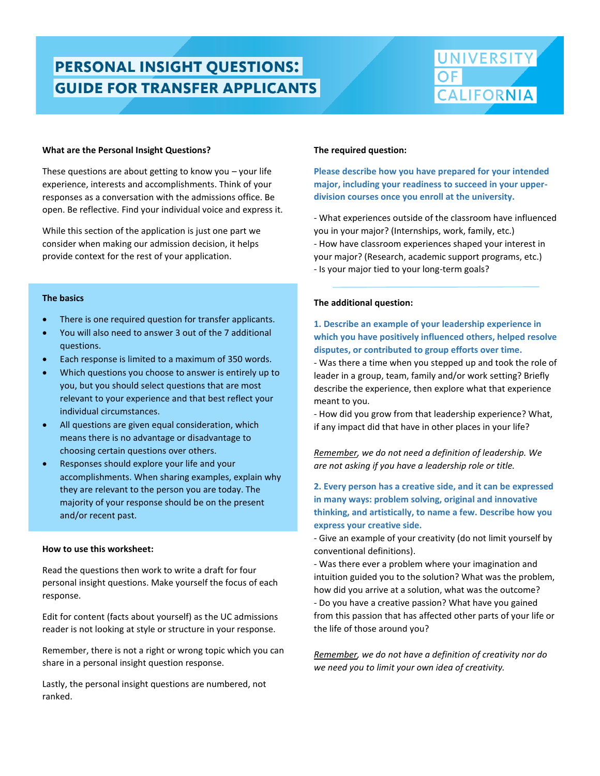# **PERSONAL INSIGHT QUESTIONS:**<br>GUIDE FOR TRANSFER APPLICANTS

suggestions can be found on the UC's admissions website at [ucal.us/personalquestions.](https://admission.universityofcalifornia.edu/how-to-apply/personal-questions/)



### **What are the Personal Insight Questions?**

These questions are about getting to know you – your life experience, interests and accomplishments. Think of your responses as a conversation with the admissions office. Be open. Be reflective. Find your individual voice and express it.

While this section of the application is just one part we consider when making our admission decision, it helps provide context for the rest of your application.

### **The basics**

- There is one required question for transfer applicants.
- You will also need to answer 3 out of the 7 additional questions.
- Each response is limited to a maximum of 350 words.
- Which questions you choose to answer is entirely up to you, but you should select questions that are most relevant to your experience and that best reflect your individual circumstances.
- All questions are given equal consideration, which means there is no advantage or disadvantage to choosing certain questions over others.
- Responses should explore your life and your accomplishments. When sharing examples, explain why they are relevant to the person you are today. The majority of your response should be on the present and/or recent past.

### **How to use this worksheet:**

Read the questions then work to write a draft for four personal insight questions. Make yourself the focus of each response.

Edit for content (facts about yourself) as the UC admissions reader is not looking at style or structure in your response.

Remember, there is not a right or wrong topic which you can share in a personal insight question response.

Lastly, the personal insight questions are numbered, not ranked.

#### **The required question:**

**Please describe how you have prepared for your intended major, including your readiness to succeed in your upperdivision courses once you enroll at the university.**

- What experiences outside of the classroom have influenced you in your major? (Internships, work, family, etc.) - How have classroom experiences shaped your interest in your major? (Research, academic support programs, etc.) - Is your major tied to your long-term goals?

### **The additional question:**

# **1. Describe an example of your leadership experience in which you have positively influenced others, helped resolve disputes, or contributed to group efforts over time.**

- Was there a time when you stepped up and took the role of leader in a group, team, family and/or work setting? Briefly describe the experience, then explore what that experience meant to you.

- How did you grow from that leadership experience? What, if any impact did that have in other places in your life?

*Remember, we do not need a definition of leadership. We are not asking if you have a leadership role or title.*

# **2. Every person has a creative side, and it can be expressed in many ways: problem solving, original and innovative thinking, and artistically, to name a few. Describe how you express your creative side.**

- Give an example of your creativity (do not limit yourself by conventional definitions).

- Was there ever a problem where your imagination and intuition guided you to the solution? What was the problem, how did you arrive at a solution, what was the outcome? - Do you have a creative passion? What have you gained from this passion that has affected other parts of your life or the life of those around you?

*Remember, we do not have a definition of creativity nor do we need you to limit your own idea of creativity.*